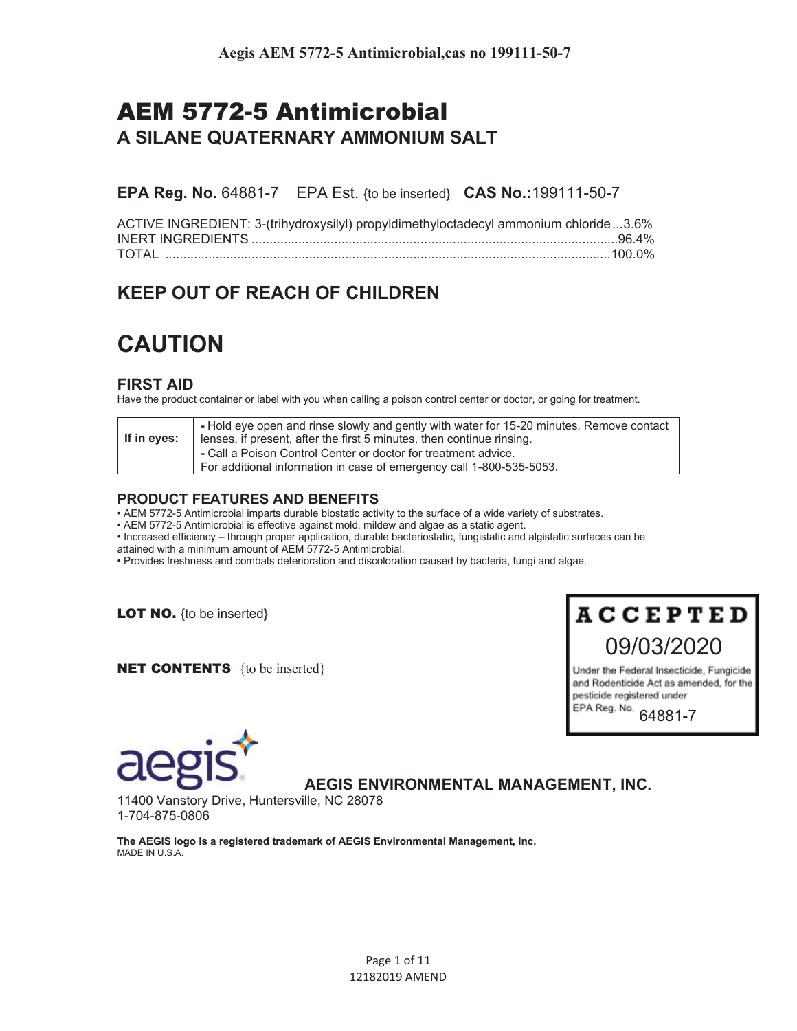# AEM 5772-5 Antimicrobial **A SILANE QUATERNARY AMMONIUM SALT**

**EPA Reg. No.** 64881-7 EPA Est. {to be inserted} **CAS No.:**199111-50-7

| ACTIVE INGREDIENT: 3-(trihydroxysilyl) propyldimethyloctadecyl ammonium chloride3.6% |  |
|--------------------------------------------------------------------------------------|--|
|                                                                                      |  |
|                                                                                      |  |

# **KEEP OUT OF REACH OF CHILDREN**

# **CAUTION**

# **FIRST AID**

Have the product container or label with you when calling a poison control center or doctor, or going for treatment.

| If in eyes: | - Hold eye open and rinse slowly and gently with water for 15-20 minutes. Remove contact<br>lenses, if present, after the first 5 minutes, then continue rinsing. |
|-------------|-------------------------------------------------------------------------------------------------------------------------------------------------------------------|
|             | - Call a Poison Control Center or doctor for treatment advice.<br>For additional information in case of emergency call 1-800-535-5053.                            |

## **PRODUCT FEATURES AND BENEFITS**

• AEM 5772-5 Antimicrobial imparts durable biostatic activity to the surface of a wide variety of substrates.

• AEM 5772-5 Antimicrobial is effective against mold, mildew and algae as a static agent.

• Increased efficiency – through proper application, durable bacteriostatic, fungistatic and algistatic surfaces can be attained with a minimum amount of AEM 5772-5 Antimicrobial.

• Provides freshness and combats deterioration and discoloration caused by bacteria, fungi and algae.

**LOT NO.** {to be inserted}

**NET CONTENTS** {to be inserted}

# **ACCEPTED**

09/03/2020

Under the Federal Insecticide, Fungicide and Rodenticide Act as amended, for the pesticide registered under EPA Reg. No.

64881-7



# **AEGIS ENVIRONMENTAL MANAGEMENT, INC.**

11400 Vanstory Drive, Huntersville, NC 28078 1-704-875-0806

**The AEGIS logo is a registered trademark of AEGIS Environmental Management, Inc.**  MADE IN U.S.A.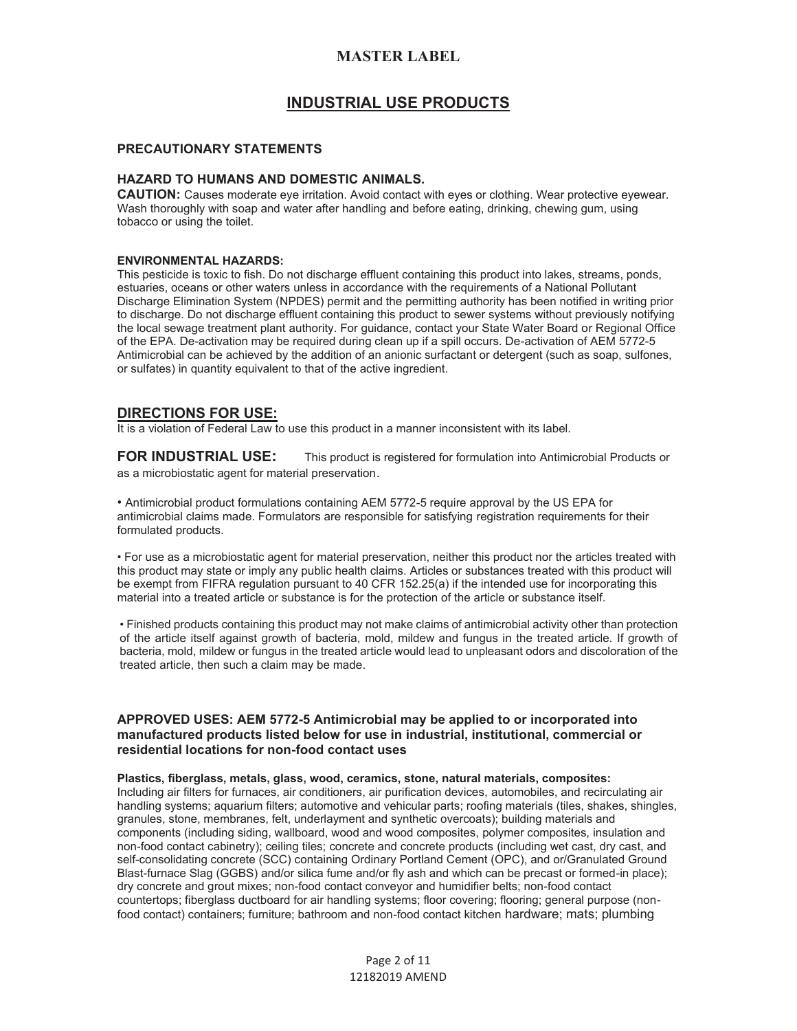## **INDUSTRIAL USE PRODUCTS**

#### **PRECAUTIONARY STATEMENTS**

#### **HAZARD TO HUMANS AND DOMESTIC ANIMALS.**

**CAUTION:** Causes moderate eye irritation. Avoid contact with eyes or clothing. Wear protective eyewear. Wash thoroughly with soap and water after handling and before eating, drinking, chewing gum, using tobacco or using the toilet.

#### **ENVIRONMENTAL HAZARDS:**

This pesticide is toxic to fish. Do not discharge effluent containing this product into lakes, streams, ponds, estuaries, oceans or other waters unless in accordance with the requirements of a National Pollutant Discharge Elimination System (NPDES) permit and the permitting authority has been notified in writing prior to discharge. Do not discharge effluent containing this product to sewer systems without previously notifying the local sewage treatment plant authority. For guidance, contact your State Water Board or Regional Office of the EPA. De-activation may be required during clean up if a spill occurs. De-activation of AEM 5772-5 Antimicrobial can be achieved by the addition of an anionic surfactant or detergent (such as soap, sulfones, or sulfates) in quantity equivalent to that of the active ingredient.

#### **DIRECTIONS FOR USE:**

It is a violation of Federal Law to use this product in a manner inconsistent with its label.

**FOR INDUSTRIAL USE:** This product is registered for formulation into Antimicrobial Products or as a microbiostatic agent for material preservation.

• Antimicrobial product formulations containing AEM 5772-5 require approval by the US EPA for antimicrobial claims made. Formulators are responsible for satisfying registration requirements for their formulated products.

• For use as a microbiostatic agent for material preservation, neither this product nor the articles treated with this product may state or imply any public health claims. Articles or substances treated with this product will be exempt from FIFRA regulation pursuant to 40 CFR 152.25(a) if the intended use for incorporating this material into a treated article or substance is for the protection of the article or substance itself.

• Finished products containing this product may not make claims of antimicrobial activity other than protection of the article itself against growth of bacteria, mold, mildew and fungus in the treated article. If growth of bacteria, mold, mildew or fungus in the treated article would lead to unpleasant odors and discoloration of the treated article, then such a claim may be made.

#### **APPROVED USES: AEM 5772-5 Antimicrobial may be applied to or incorporated into manufactured products listed below for use in industrial, institutional, commercial or residential locations for non-food contact uses**

#### **Plastics, fiberglass, metals, glass, wood, ceramics, stone, natural materials, composites:**

Including air filters for furnaces, air conditioners, air purification devices, automobiles, and recirculating air handling systems; aquarium filters; automotive and vehicular parts; roofing materials (tiles, shakes, shingles, granules, stone, membranes, felt, underlayment and synthetic overcoats); building materials and components (including siding, wallboard, wood and wood composites, polymer composites, insulation and non-food contact cabinetry); ceiling tiles; concrete and concrete products (including wet cast, dry cast, and self-consolidating concrete (SCC) containing Ordinary Portland Cement (OPC), and or/Granulated Ground Blast-furnace Slag (GGBS) and/or silica fume and/or fly ash and which can be precast or formed-in place); dry concrete and grout mixes; non-food contact conveyor and humidifier belts; non-food contact countertops; fiberglass ductboard for air handling systems; floor covering; flooring; general purpose (nonfood contact) containers; furniture; bathroom and non-food contact kitchen hardware; mats; plumbing

> Page 2 of 11 12182019 AMEND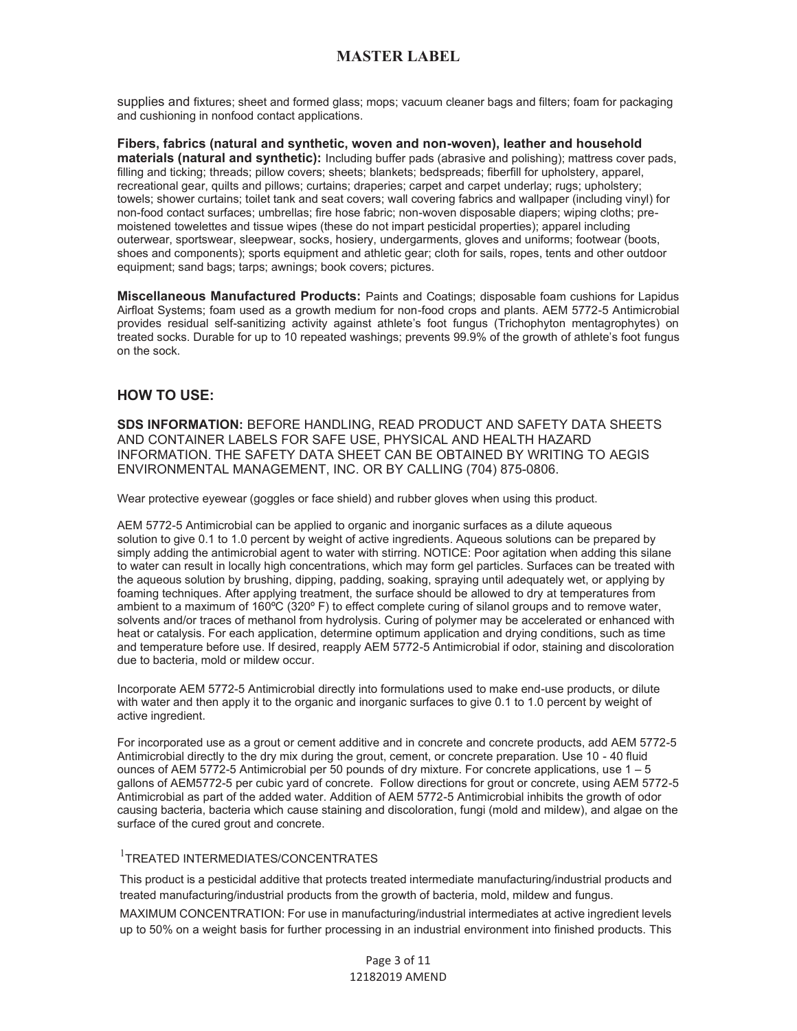supplies and fixtures; sheet and formed glass; mops; vacuum cleaner bags and filters; foam for packaging and cushioning in nonfood contact applications.

**Fibers, fabrics (natural and synthetic, woven and non-woven), leather and household materials (natural and synthetic):** Including buffer pads (abrasive and polishing); mattress cover pads, filling and ticking; threads; pillow covers; sheets; blankets; bedspreads; fiberfill for upholstery, apparel, recreational gear, quilts and pillows; curtains; draperies; carpet and carpet underlay; rugs; upholstery; towels; shower curtains; toilet tank and seat covers; wall covering fabrics and wallpaper (including vinyl) for non-food contact surfaces; umbrellas; fire hose fabric; non-woven disposable diapers; wiping cloths; premoistened towelettes and tissue wipes (these do not impart pesticidal properties); apparel including outerwear, sportswear, sleepwear, socks, hosiery, undergarments, gloves and uniforms; footwear (boots, shoes and components); sports equipment and athletic gear; cloth for sails, ropes, tents and other outdoor equipment; sand bags; tarps; awnings; book covers; pictures.

**Miscellaneous Manufactured Products:** Paints and Coatings; disposable foam cushions for Lapidus Airfloat Systems; foam used as a growth medium for non-food crops and plants. AEM 5772-5 Antimicrobial provides residual self-sanitizing activity against athlete's foot fungus (Trichophyton mentagrophytes) on treated socks. Durable for up to 10 repeated washings; prevents 99.9% of the growth of athlete's foot fungus on the sock.

## **HOW TO USE:**

**SDS INFORMATION:** BEFORE HANDLING, READ PRODUCT AND SAFETY DATA SHEETS AND CONTAINER LABELS FOR SAFE USE, PHYSICAL AND HEALTH HAZARD INFORMATION. THE SAFETY DATA SHEET CAN BE OBTAINED BY WRITING TO AEGIS ENVIRONMENTAL MANAGEMENT, INC. OR BY CALLING (704) 875-0806.

Wear protective eyewear (goggles or face shield) and rubber gloves when using this product.

AEM 5772-5 Antimicrobial can be applied to organic and inorganic surfaces as a dilute aqueous solution to give 0.1 to 1.0 percent by weight of active ingredients. Aqueous solutions can be prepared by simply adding the antimicrobial agent to water with stirring. NOTICE: Poor agitation when adding this silane to water can result in locally high concentrations, which may form gel particles. Surfaces can be treated with the aqueous solution by brushing, dipping, padding, soaking, spraying until adequately wet, or applying by foaming techniques. After applying treatment, the surface should be allowed to dry at temperatures from ambient to a maximum of 160°C (320° F) to effect complete curing of silanol groups and to remove water, solvents and/or traces of methanol from hydrolysis. Curing of polymer may be accelerated or enhanced with heat or catalysis. For each application, determine optimum application and drying conditions, such as time and temperature before use. If desired, reapply AEM 5772-5 Antimicrobial if odor, staining and discoloration due to bacteria, mold or mildew occur.

Incorporate AEM 5772-5 Antimicrobial directly into formulations used to make end-use products, or dilute with water and then apply it to the organic and inorganic surfaces to give 0.1 to 1.0 percent by weight of active ingredient.

For incorporated use as a grout or cement additive and in concrete and concrete products, add AEM 5772-5 Antimicrobial directly to the dry mix during the grout, cement, or concrete preparation. Use 10 - 40 fluid ounces of AEM 5772-5 Antimicrobial per 50 pounds of dry mixture. For concrete applications, use 1 – 5 gallons of AEM5772-5 per cubic yard of concrete. Follow directions for grout or concrete, using AEM 5772-5 Antimicrobial as part of the added water. Addition of AEM 5772-5 Antimicrobial inhibits the growth of odor causing bacteria, bacteria which cause staining and discoloration, fungi (mold and mildew), and algae on the surface of the cured grout and concrete.

## 1 TREATED INTERMEDIATES/CONCENTRATES

This product is a pesticidal additive that protects treated intermediate manufacturing/industrial products and treated manufacturing/industrial products from the growth of bacteria, mold, mildew and fungus.

MAXIMUM CONCENTRATION: For use in manufacturing/industrial intermediates at active ingredient levels up to 50% on a weight basis for further processing in an industrial environment into finished products. This

> Page 3 of 11 12182019 AMEND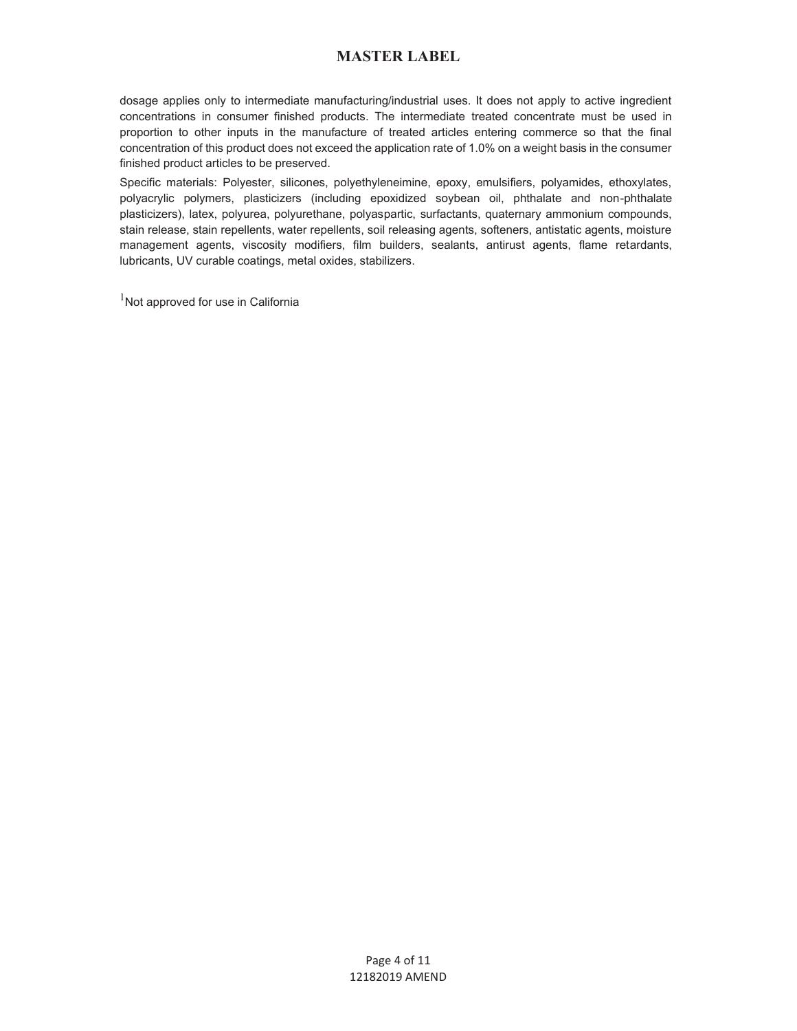dosage applies only to intermediate manufacturing/industrial uses. It does not apply to active ingredient concentrations in consumer finished products. The intermediate treated concentrate must be used in proportion to other inputs in the manufacture of treated articles entering commerce so that the final concentration of this product does not exceed the application rate of 1.0% on a weight basis in the consumer finished product articles to be preserved.

Specific materials: Polyester, silicones, polyethyleneimine, epoxy, emulsifiers, polyamides, ethoxylates, polyacrylic polymers, plasticizers (including epoxidized soybean oil, phthalate and non-phthalate plasticizers), latex, polyurea, polyurethane, polyaspartic, surfactants, quaternary ammonium compounds, stain release, stain repellents, water repellents, soil releasing agents, softeners, antistatic agents, moisture management agents, viscosity modifiers, film builders, sealants, antirust agents, flame retardants, lubricants, UV curable coatings, metal oxides, stabilizers.

 $1$ Not approved for use in California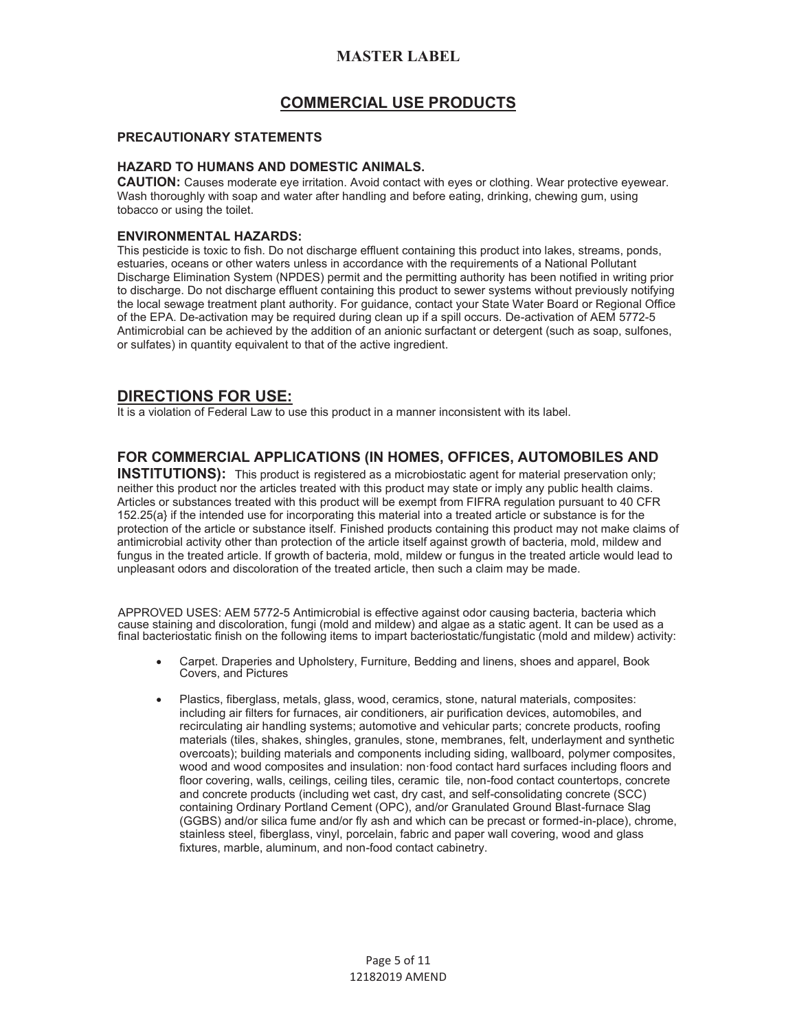# **COMMERCIAL USE PRODUCTS**

### **PRECAUTIONARY STATEMENTS**

### **HAZARD TO HUMANS AND DOMESTIC ANIMALS.**

**CAUTION:** Causes moderate eye irritation. Avoid contact with eyes or clothing. Wear protective eyewear. Wash thoroughly with soap and water after handling and before eating, drinking, chewing gum, using tobacco or using the toilet.

## **ENVIRONMENTAL HAZARDS:**

This pesticide is toxic to fish. Do not discharge effluent containing this product into lakes, streams, ponds, estuaries, oceans or other waters unless in accordance with the requirements of a National Pollutant Discharge Elimination System (NPDES) permit and the permitting authority has been notified in writing prior to discharge. Do not discharge effluent containing this product to sewer systems without previously notifying the local sewage treatment plant authority. For guidance, contact your State Water Board or Regional Office of the EPA. De-activation may be required during clean up if a spill occurs. De-activation of AEM 5772-5 Antimicrobial can be achieved by the addition of an anionic surfactant or detergent (such as soap, sulfones, or sulfates) in quantity equivalent to that of the active ingredient.

# **DIRECTIONS FOR USE:**

It is a violation of Federal Law to use this product in a manner inconsistent with its label.

## **FOR COMMERCIAL APPLICATIONS (IN HOMES, OFFICES, AUTOMOBILES AND**

**INSTITUTIONS):** This product is registered as a microbiostatic agent for material preservation only; neither this product nor the articles treated with this product may state or imply any public health claims. Articles or substances treated with this product will be exempt from FIFRA regulation pursuant to 40 CFR 152.25(a} if the intended use for incorporating this material into a treated article or substance is for the protection of the article or substance itself. Finished products containing this product may not make claims of antimicrobial activity other than protection of the article itself against growth of bacteria, mold, mildew and fungus in the treated article. If growth of bacteria, mold, mildew or fungus in the treated article would lead to unpleasant odors and discoloration of the treated article, then such a claim may be made.

APPROVED USES: AEM 5772-5 Antimicrobial is effective against odor causing bacteria, bacteria which cause staining and discoloration, fungi (mold and mildew) and algae as a static agent. It can be used as a final bacteriostatic finish on the following items to impart bacteriostatic/fungistatic (mold and mildew) activity:

- Carpet. Draperies and Upholstery, Furniture, Bedding and linens, shoes and apparel, Book Covers, and Pictures
- Plastics, fiberglass, metals, glass, wood, ceramics, stone, natural materials, composites: including air filters for furnaces, air conditioners, air purification devices, automobiles, and recirculating air handling systems; automotive and vehicular parts; concrete products, roofing materials (tiles, shakes, shingles, granules, stone, membranes, felt, underlayment and synthetic overcoats); building materials and components including siding, wallboard, polymer composites, wood and wood composites and insulation: non·food contact hard surfaces including floors and floor covering, walls, ceilings, ceiling tiles, ceramic tile, non-food contact countertops, concrete and concrete products (including wet cast, dry cast, and self-consolidating concrete (SCC) containing Ordinary Portland Cement (OPC), and/or Granulated Ground Blast-furnace Slag (GGBS) and/or silica fume and/or fly ash and which can be precast or formed-in-place), chrome, stainless steel, fiberglass, vinyl, porcelain, fabric and paper wall covering, wood and glass fixtures, marble, aluminum, and non-food contact cabinetry.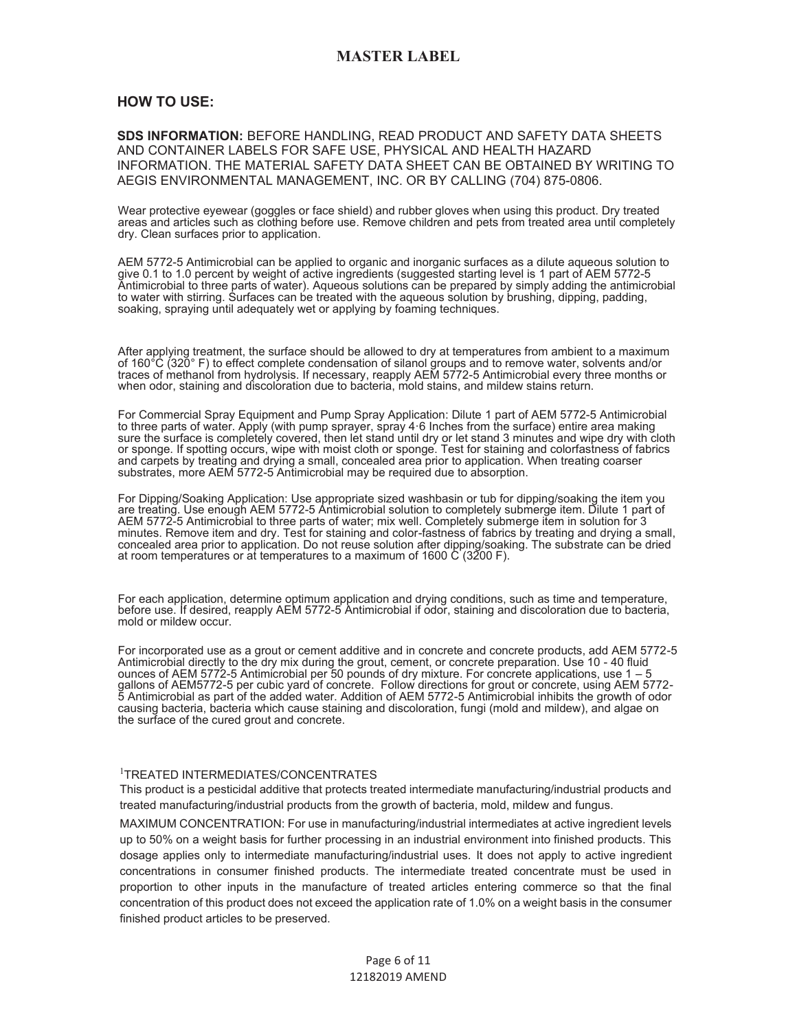### **HOW TO USE:**

#### **SDS INFORMATION:** BEFORE HANDLING, READ PRODUCT AND SAFETY DATA SHEETS AND CONTAINER LABELS FOR SAFE USE, PHYSICAL AND HEALTH HAZARD INFORMATION. THE MATERIAL SAFETY DATA SHEET CAN BE OBTAINED BY WRITING TO AEGIS ENVIRONMENTAL MANAGEMENT, INC. OR BY CALLING (704) 875-0806.

Wear protective eyewear (goggles or face shield) and rubber gloves when using this product. Dry treated areas and articles such as clothing before use. Remove children and pets from treated area until completely dry. Clean surfaces prior to application.

AEM 5772-5 Antimicrobial can be applied to organic and inorganic surfaces as a dilute aqueous solution to give 0.1 to 1.0 percent by weight of active ingredients (suggested starting level is 1 part of AEM 5772-5 Antimicrobial to three parts of water). Aqueous solutions can be prepared by simply adding the antimicrobial to water with stirring. Surfaces can be treated with the aqueous solution by brushing, dipping, padding, soaking, spraying until adequately wet or applying by foaming techniques.

After applying treatment, the surface should be allowed to dry at temperatures from ambient to a maximum of 160°C (320° F) to effect complete condensation of silanol groups and to remove water, solvents and/or traces of methanol from hydrolysis. If necessary, reapply AEM 5772-5 Antimicrobial every three months or when odor, staining and discoloration due to bacteria, mold stains, and mildew stains return.

For Commercial Spray Equipment and Pump Spray Application: Dilute 1 part of AEM 5772-5 Antimicrobial to three parts of water. Apply (with pump sprayer, spray 4·6 Inches from the surface) entire area making sure the surface is completely covered, then let stand until dry or let stand 3 minutes and wipe dry with cloth or sponge. If spotting occurs, wipe with moist cloth or sponge. Test for staining and colorfastness of fabrics and carpets by treating and drying a small, concealed area prior to application. When treating coarser substrates, more AEM 5772-5 Antimicrobial may be required due to absorption.

For Dipping/Soaking Application: Use appropriate sized washbasin or tub for dipping/soaking the item you are treating. Use enough AEM 5772-5 Antimicrobial solution to completely submerge item. Dilute 1 part of AEM 5772-5 Antimicrobial to three parts of water; mix well. Completely submerge item in solution for 3 minutes. Remove item and dry. Test for staining and color-fastness of fabrics by treating and drying a small, concealed area prior to application. Do not reuse solution after dipping/soaking. The substrate can be dried at room temperatures or at temperatures to a maximum of 1600 C (3200 F).

For each application, determine optimum application and drying conditions, such as time and temperature, before use. If desired, reapply AEM 5772-5 Antimicrobial if odor, staining and discoloration due to bacteria, mold or mildew occur.

For incorporated use as a grout or cement additive and in concrete and concrete products, add AEM 5772-5 Antimicrobial directly to the dry mix during the grout, cement, or concrete preparation. Use 10 - 40 fluid ounces of AEM 5772-5 Antimicrobial per 50 pounds of dry mixture. For concrete applications, use 1 – 5 gallons of AEM5772-5 per cubic yard of concrete. Follow directions for grout or concrete, using AEM 5772- 5 Antimicrobial as part of the added water. Addition of AEM 5772-5 Antimicrobial inhibits the growth of odor causing bacteria, bacteria which cause staining and discoloration, fungi (mold and mildew), and algae on the surface of the cured grout and concrete.

#### 1 TREATED INTERMEDIATES/CONCENTRATES

This product is a pesticidal additive that protects treated intermediate manufacturing/industrial products and treated manufacturing/industrial products from the growth of bacteria, mold, mildew and fungus.

MAXIMUM CONCENTRATION: For use in manufacturing/industrial intermediates at active ingredient levels up to 50% on a weight basis for further processing in an industrial environment into finished products. This dosage applies only to intermediate manufacturing/industrial uses. It does not apply to active ingredient concentrations in consumer finished products. The intermediate treated concentrate must be used in proportion to other inputs in the manufacture of treated articles entering commerce so that the final concentration of this product does not exceed the application rate of 1.0% on a weight basis in the consumer finished product articles to be preserved.

> Page 6 of 11 12182019 AMEND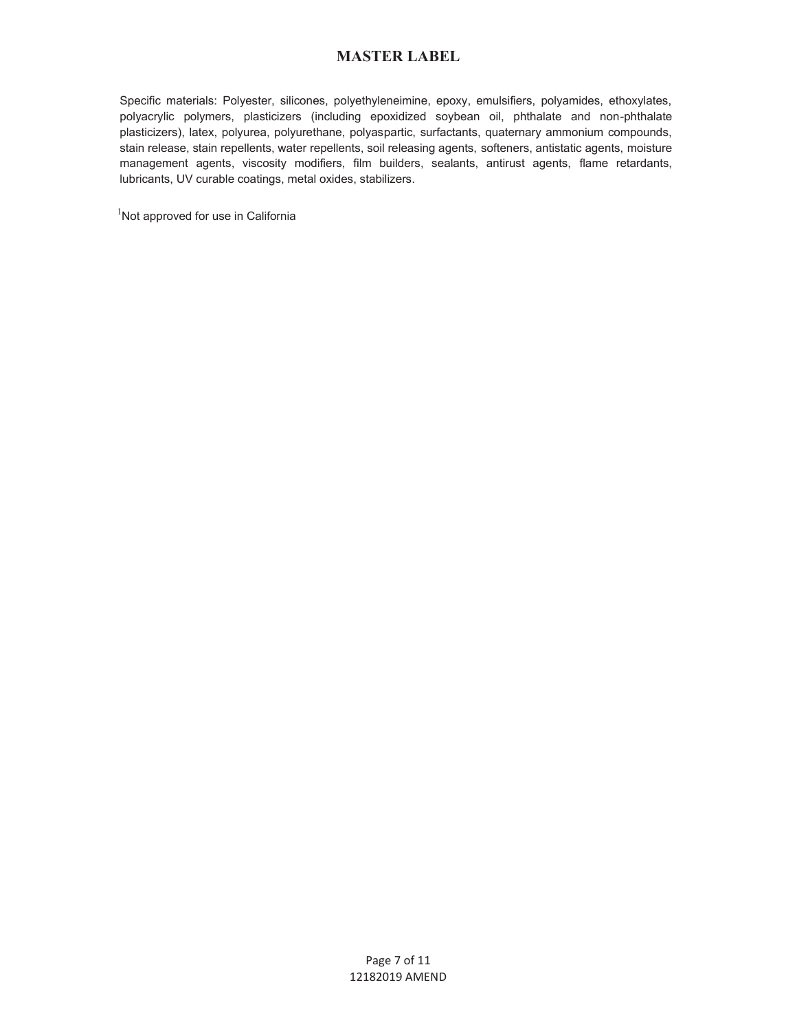Specific materials: Polyester, silicones, polyethyleneimine, epoxy, emulsifiers, polyamides, ethoxylates, polyacrylic polymers, plasticizers (including epoxidized soybean oil, phthalate and non-phthalate plasticizers), latex, polyurea, polyurethane, polyaspartic, surfactants, quaternary ammonium compounds, stain release, stain repellents, water repellents, soil releasing agents, softeners, antistatic agents, moisture management agents, viscosity modifiers, film builders, sealants, antirust agents, flame retardants, lubricants, UV curable coatings, metal oxides, stabilizers.

<sup>1</sup>Not approved for use in California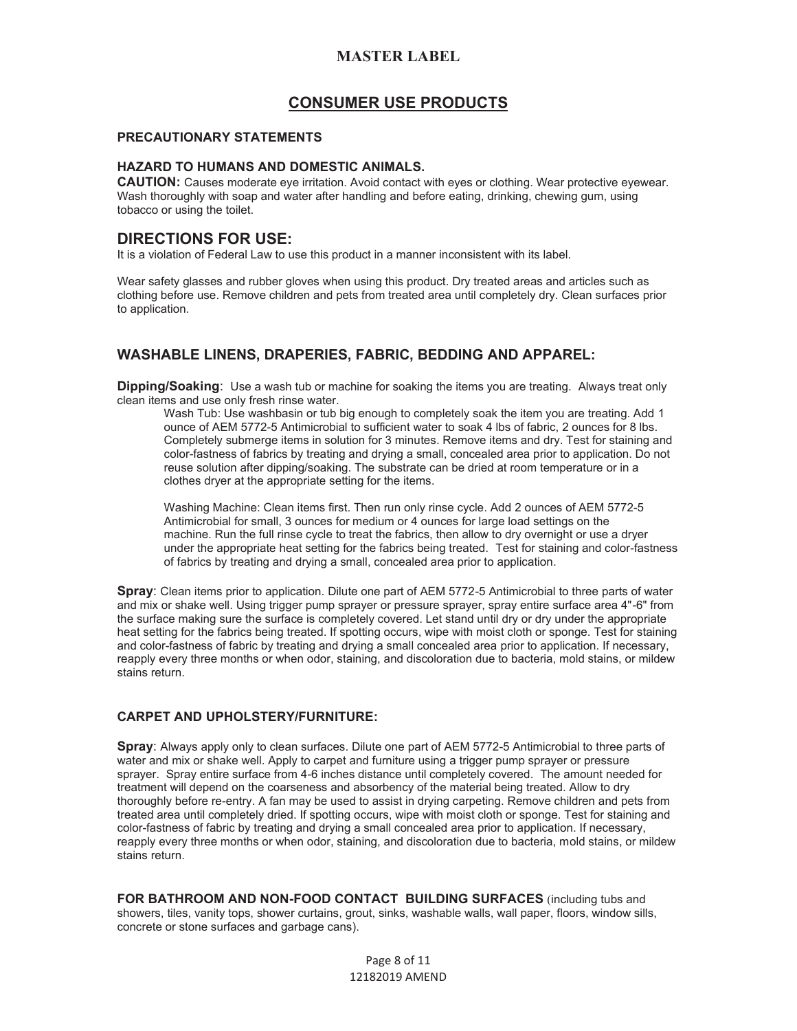## **CONSUMER USE PRODUCTS**

#### **PRECAUTIONARY STATEMENTS**

#### **HAZARD TO HUMANS AND DOMESTIC ANIMALS.**

**CAUTION:** Causes moderate eye irritation. Avoid contact with eyes or clothing. Wear protective eyewear. Wash thoroughly with soap and water after handling and before eating, drinking, chewing gum, using tobacco or using the toilet.

## **DIRECTIONS FOR USE:**

It is a violation of Federal Law to use this product in a manner inconsistent with its label.

Wear safety glasses and rubber gloves when using this product. Dry treated areas and articles such as clothing before use. Remove children and pets from treated area until completely dry. Clean surfaces prior to application.

## **WASHABLE LINENS, DRAPERIES, FABRIC, BEDDING AND APPAREL:**

**Dipping/Soaking**: Use a wash tub or machine for soaking the items you are treating. Always treat only clean items and use only fresh rinse water.

Wash Tub: Use washbasin or tub big enough to completely soak the item you are treating. Add 1 ounce of AEM 5772-5 Antimicrobial to sufficient water to soak 4 lbs of fabric, 2 ounces for 8 lbs. Completely submerge items in solution for 3 minutes. Remove items and dry. Test for staining and color-fastness of fabrics by treating and drying a small, concealed area prior to application. Do not reuse solution after dipping/soaking. The substrate can be dried at room temperature or in a clothes dryer at the appropriate setting for the items.

Washing Machine: Clean items first. Then run only rinse cycle. Add 2 ounces of AEM 5772-5 Antimicrobial for small, 3 ounces for medium or 4 ounces for large load settings on the machine. Run the full rinse cycle to treat the fabrics, then allow to dry overnight or use a dryer under the appropriate heat setting for the fabrics being treated. Test for staining and color-fastness of fabrics by treating and drying a small, concealed area prior to application.

**Spray**: Clean items prior to application. Dilute one part of AEM 5772-5 Antimicrobial to three parts of water and mix or shake well. Using trigger pump sprayer or pressure sprayer, spray entire surface area 4"-6" from the surface making sure the surface is completely covered. Let stand until dry or dry under the appropriate heat setting for the fabrics being treated. If spotting occurs, wipe with moist cloth or sponge. Test for staining and color-fastness of fabric by treating and drying a small concealed area prior to application. If necessary, reapply every three months or when odor, staining, and discoloration due to bacteria, mold stains, or mildew stains return.

#### **CARPET AND UPHOLSTERY/FURNITURE:**

**Spray**: Always apply only to clean surfaces. Dilute one part of AEM 5772-5 Antimicrobial to three parts of water and mix or shake well. Apply to carpet and furniture using a trigger pump sprayer or pressure sprayer. Spray entire surface from 4-6 inches distance until completely covered. The amount needed for treatment will depend on the coarseness and absorbency of the material being treated. Allow to dry thoroughly before re-entry. A fan may be used to assist in drying carpeting. Remove children and pets from treated area until completely dried. If spotting occurs, wipe with moist cloth or sponge. Test for staining and color-fastness of fabric by treating and drying a small concealed area prior to application. If necessary, reapply every three months or when odor, staining, and discoloration due to bacteria, mold stains, or mildew stains return.

**FOR BATHROOM AND NON-FOOD CONTACT BUILDING SURFACES** (including tubs and showers, tiles, vanity tops, shower curtains, grout, sinks, washable walls, wall paper, floors, window sills, concrete or stone surfaces and garbage cans).

> Page 8 of 11 12182019 AMEND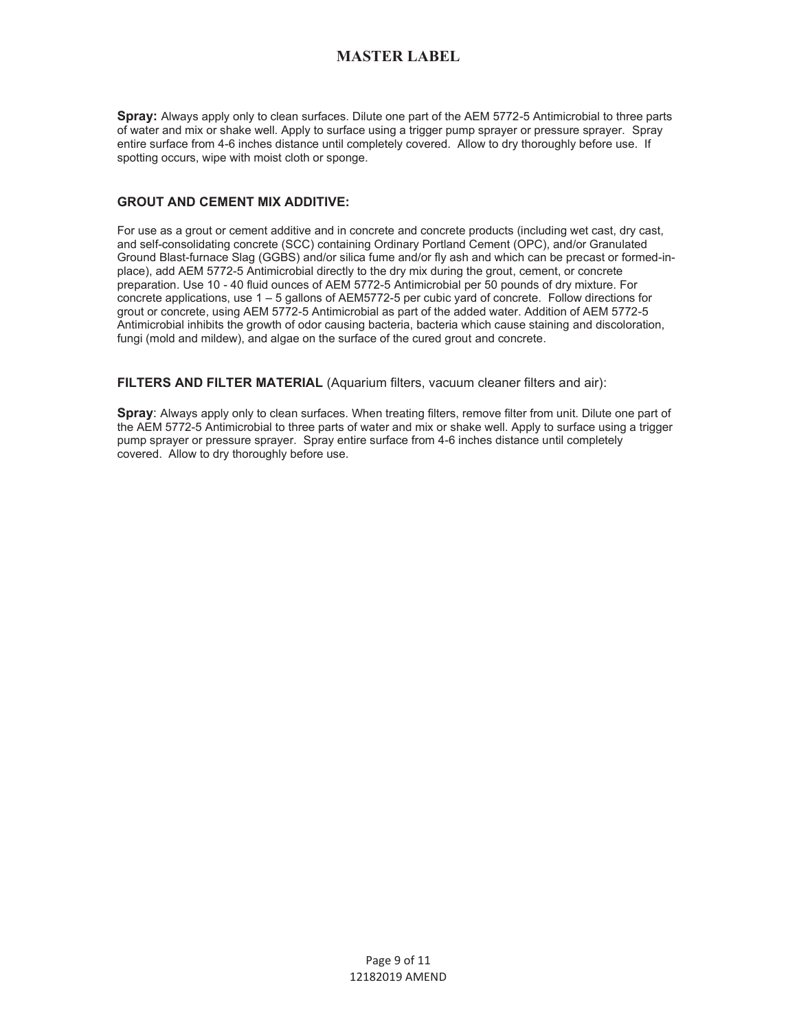**Spray:** Always apply only to clean surfaces. Dilute one part of the AEM 5772-5 Antimicrobial to three parts of water and mix or shake well. Apply to surface using a trigger pump sprayer or pressure sprayer. Spray entire surface from 4-6 inches distance until completely covered. Allow to dry thoroughly before use. If spotting occurs, wipe with moist cloth or sponge.

### **GROUT AND CEMENT MIX ADDITIVE:**

For use as a grout or cement additive and in concrete and concrete products (including wet cast, dry cast, and self-consolidating concrete (SCC) containing Ordinary Portland Cement (OPC), and/or Granulated Ground Blast-furnace Slag (GGBS) and/or silica fume and/or fly ash and which can be precast or formed-inplace), add AEM 5772-5 Antimicrobial directly to the dry mix during the grout, cement, or concrete preparation. Use 10 - 40 fluid ounces of AEM 5772-5 Antimicrobial per 50 pounds of dry mixture. For concrete applications, use 1 – 5 gallons of AEM5772-5 per cubic yard of concrete. Follow directions for grout or concrete, using AEM 5772-5 Antimicrobial as part of the added water. Addition of AEM 5772-5 Antimicrobial inhibits the growth of odor causing bacteria, bacteria which cause staining and discoloration, fungi (mold and mildew), and algae on the surface of the cured grout and concrete.

**FILTERS AND FILTER MATERIAL** (Aquarium filters, vacuum cleaner filters and air):

**Spray**: Always apply only to clean surfaces. When treating filters, remove filter from unit. Dilute one part of the AEM 5772-5 Antimicrobial to three parts of water and mix or shake well. Apply to surface using a trigger pump sprayer or pressure sprayer. Spray entire surface from 4-6 inches distance until completely covered. Allow to dry thoroughly before use.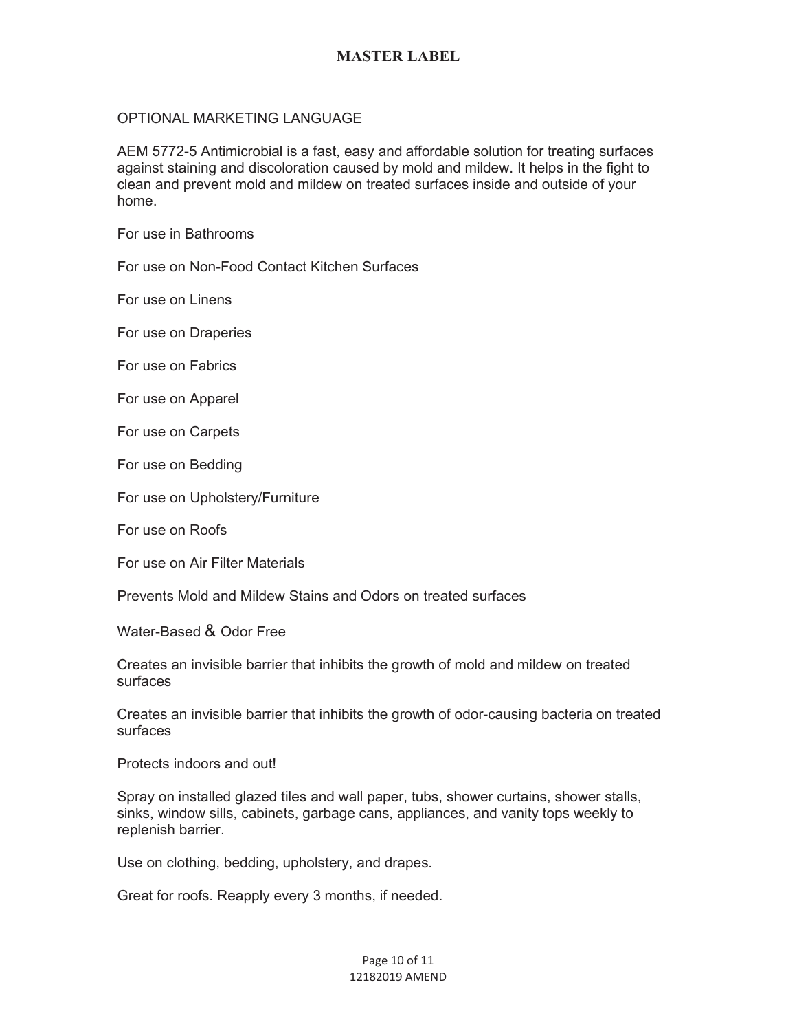## OPTIONAL MARKETING LANGUAGE

AEM 5772-5 Antimicrobial is a fast, easy and affordable solution for treating surfaces against staining and discoloration caused by mold and mildew. It helps in the fight to clean and prevent mold and mildew on treated surfaces inside and outside of your home.

For use in Bathrooms

For use on Non-Food Contact Kitchen Surfaces

For use on Linens

For use on Draperies

For use on Fabrics

For use on Apparel

For use on Carpets

For use on Bedding

For use on Upholstery/Furniture

For use on Roofs

For use on Air Filter Materials

Prevents Mold and Mildew Stains and Odors on treated surfaces

Water-Based & Odor Free

Creates an invisible barrier that inhibits the growth of mold and mildew on treated surfaces

Creates an invisible barrier that inhibits the growth of odor-causing bacteria on treated surfaces

Protects indoors and out!

Spray on installed glazed tiles and wall paper, tubs, shower curtains, shower stalls, sinks, window sills, cabinets, garbage cans, appliances, and vanity tops weekly to replenish barrier.

Use on clothing, bedding, upholstery, and drapes.

Great for roofs. Reapply every 3 months, if needed.